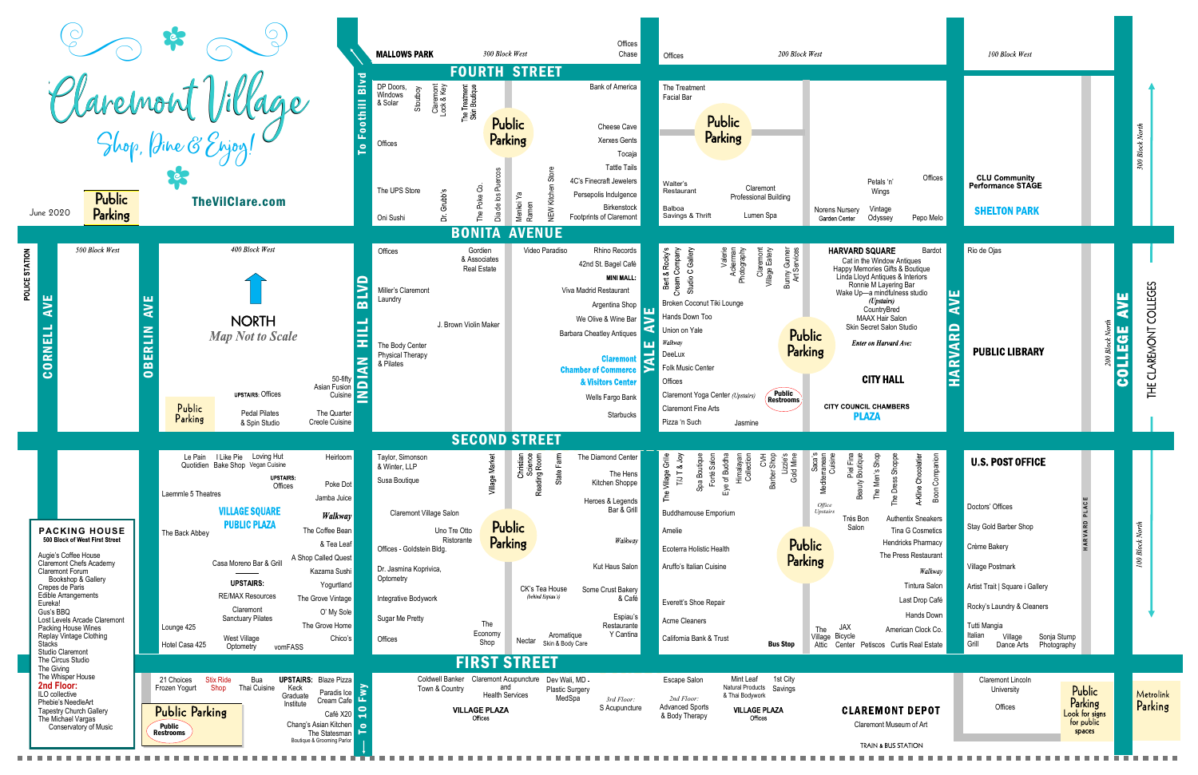